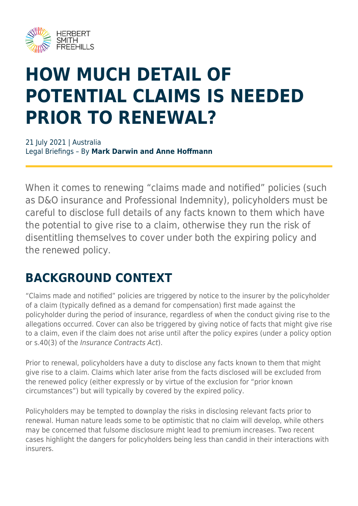

# **HOW MUCH DETAIL OF POTENTIAL CLAIMS IS NEEDED PRIOR TO RENEWAL?**

21 July 2021 | Australia Legal Briefings – By **Mark Darwin and Anne Hoffmann**

When it comes to renewing "claims made and notified" policies (such as D&O insurance and Professional Indemnity), policyholders must be careful to disclose full details of any facts known to them which have the potential to give rise to a claim, otherwise they run the risk of disentitling themselves to cover under both the expiring policy and the renewed policy.

#### **BACKGROUND CONTEXT**

"Claims made and notified" policies are triggered by notice to the insurer by the policyholder of a claim (typically defined as a demand for compensation) first made against the policyholder during the period of insurance, regardless of when the conduct giving rise to the allegations occurred. Cover can also be triggered by giving notice of facts that might give rise to a claim, even if the claim does not arise until after the policy expires (under a policy option or s.40(3) of the Insurance Contracts Act).

Prior to renewal, policyholders have a duty to disclose any facts known to them that might give rise to a claim. Claims which later arise from the facts disclosed will be excluded from the renewed policy (either expressly or by virtue of the exclusion for "prior known circumstances") but will typically by covered by the expired policy.

Policyholders may be tempted to downplay the risks in disclosing relevant facts prior to renewal. Human nature leads some to be optimistic that no claim will develop, while others may be concerned that fulsome disclosure might lead to premium increases. Two recent cases highlight the dangers for policyholders being less than candid in their interactions with insurers.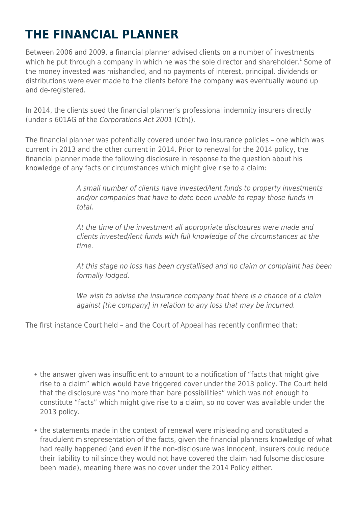# **THE FINANCIAL PLANNER**

Between 2006 and 2009, a financial planner advised clients on a number of investments which he put through a company in which he was the sole director and shareholder.<sup>1</sup> Some of the money invested was mishandled, and no payments of interest, principal, dividends or distributions were ever made to the clients before the company was eventually wound up and de-registered.

In 2014, the clients sued the financial planner's professional indemnity insurers directly (under s 601AG of the Corporations Act 2001 (Cth)).

The financial planner was potentially covered under two insurance policies – one which was current in 2013 and the other current in 2014. Prior to renewal for the 2014 policy, the financial planner made the following disclosure in response to the question about his knowledge of any facts or circumstances which might give rise to a claim:

> A small number of clients have invested/lent funds to property investments and/or companies that have to date been unable to repay those funds in total.

At the time of the investment all appropriate disclosures were made and clients invested/lent funds with full knowledge of the circumstances at the time.

At this stage no loss has been crystallised and no claim or complaint has been formally lodged.

We wish to advise the insurance company that there is a chance of a claim against [the company] in relation to any loss that may be incurred.

The first instance Court held – and the Court of Appeal has recently confirmed that:

- the answer given was insufficient to amount to a notification of "facts that might give rise to a claim" which would have triggered cover under the 2013 policy. The Court held that the disclosure was "no more than bare possibilities" which was not enough to constitute "facts" which might give rise to a claim, so no cover was available under the 2013 policy.
- the statements made in the context of renewal were misleading and constituted a fraudulent misrepresentation of the facts, given the financial planners knowledge of what had really happened (and even if the non-disclosure was innocent, insurers could reduce their liability to nil since they would not have covered the claim had fulsome disclosure been made), meaning there was no cover under the 2014 Policy either.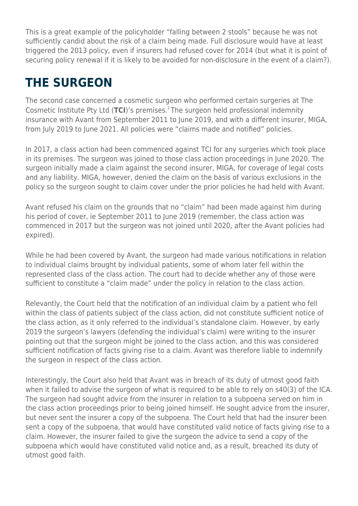This is a great example of the policyholder "falling between 2 stools" because he was not sufficiently candid about the risk of a claim being made. Full disclosure would have at least triggered the 2013 policy, even if insurers had refused cover for 2014 (but what it is point of securing policy renewal if it is likely to be avoided for non-disclosure in the event of a claim?).

### **THE SURGEON**

The second case concerned a cosmetic surgeon who performed certain surgeries at The Cosmetic Institute Pty Ltd (TCI)'s premises.<sup>2</sup>The surgeon held professional indemnity insurance with Avant from September 2011 to June 2019, and with a different insurer, MIGA, from July 2019 to June 2021. All policies were "claims made and notified" policies.

In 2017, a class action had been commenced against TCI for any surgeries which took place in its premises. The surgeon was joined to those class action proceedings in June 2020. The surgeon initially made a claim against the second insurer, MIGA, for coverage of legal costs and any liability. MIGA, however, denied the claim on the basis of various exclusions in the policy so the surgeon sought to claim cover under the prior policies he had held with Avant.

Avant refused his claim on the grounds that no "claim" had been made against him during his period of cover, ie September 2011 to June 2019 (remember, the class action was commenced in 2017 but the surgeon was not joined until 2020, after the Avant policies had expired).

While he had been covered by Avant, the surgeon had made various notifications in relation to individual claims brought by individual patients, some of whom later fell within the represented class of the class action. The court had to decide whether any of those were sufficient to constitute a "claim made" under the policy in relation to the class action.

Relevantly, the Court held that the notification of an individual claim by a patient who fell within the class of patients subject of the class action, did not constitute sufficient notice of the class action, as it only referred to the individual's standalone claim. However, by early 2019 the surgeon's lawyers (defending the individual's claim) were writing to the insurer pointing out that the surgeon might be joined to the class action, and this was considered sufficient notification of facts giving rise to a claim. Avant was therefore liable to indemnify the surgeon in respect of the class action.

Interestingly, the Court also held that Avant was in breach of its duty of utmost good faith when it failed to advise the surgeon of what is required to be able to rely on s40(3) of the ICA. The surgeon had sought advice from the insurer in relation to a subpoena served on him in the class action proceedings prior to being joined himself. He sought advice from the insurer, but never sent the insurer a copy of the subpoena. The Court held that had the insurer been sent a copy of the subpoena, that would have constituted valid notice of facts giving rise to a claim. However, the insurer failed to give the surgeon the advice to send a copy of the subpoena which would have constituted valid notice and, as a result, breached its duty of utmost good faith.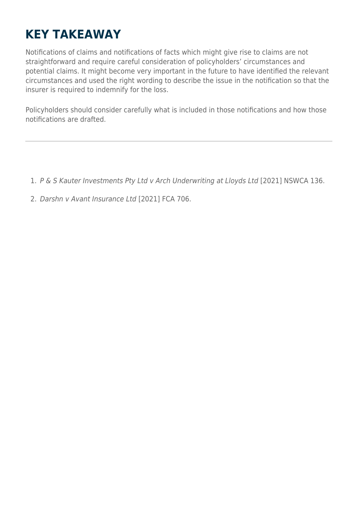### **KEY TAKEAWAY**

Notifications of claims and notifications of facts which might give rise to claims are not straightforward and require careful consideration of policyholders' circumstances and potential claims. It might become very important in the future to have identified the relevant circumstances and used the right wording to describe the issue in the notification so that the insurer is required to indemnify for the loss.

Policyholders should consider carefully what is included in those notifications and how those notifications are drafted.

- 1. P & S Kauter Investments Pty Ltd v Arch Underwriting at Lloyds Ltd [2021] NSWCA 136.
- 2. Darshn v Avant Insurance Ltd [2021] FCA 706.